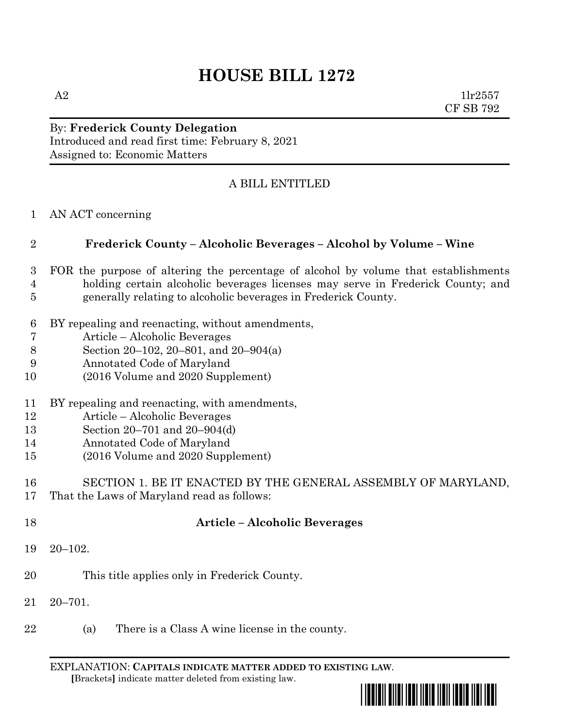# **HOUSE BILL 1272**

A2  $1\text{lr}2557$ CF SB 792

### By: **Frederick County Delegation** Introduced and read first time: February 8, 2021 Assigned to: Economic Matters

## A BILL ENTITLED

AN ACT concerning

### **Frederick County – Alcoholic Beverages – Alcohol by Volume – Wine**

- FOR the purpose of altering the percentage of alcohol by volume that establishments holding certain alcoholic beverages licenses may serve in Frederick County; and generally relating to alcoholic beverages in Frederick County.
- BY repealing and reenacting, without amendments,
- Article Alcoholic Beverages
- Section 20–102, 20–801, and 20–904(a)
- Annotated Code of Maryland
- (2016 Volume and 2020 Supplement)
- BY repealing and reenacting, with amendments,
- Article Alcoholic Beverages
- Section 20–701 and 20–904(d)
- Annotated Code of Maryland
- (2016 Volume and 2020 Supplement)
- SECTION 1. BE IT ENACTED BY THE GENERAL ASSEMBLY OF MARYLAND,
- That the Laws of Maryland read as follows:
- 

### **Article – Alcoholic Beverages**

- 20–102.
- This title applies only in Frederick County.
- 20–701.
- (a) There is a Class A wine license in the county.

EXPLANATION: **CAPITALS INDICATE MATTER ADDED TO EXISTING LAW**.  **[**Brackets**]** indicate matter deleted from existing law.